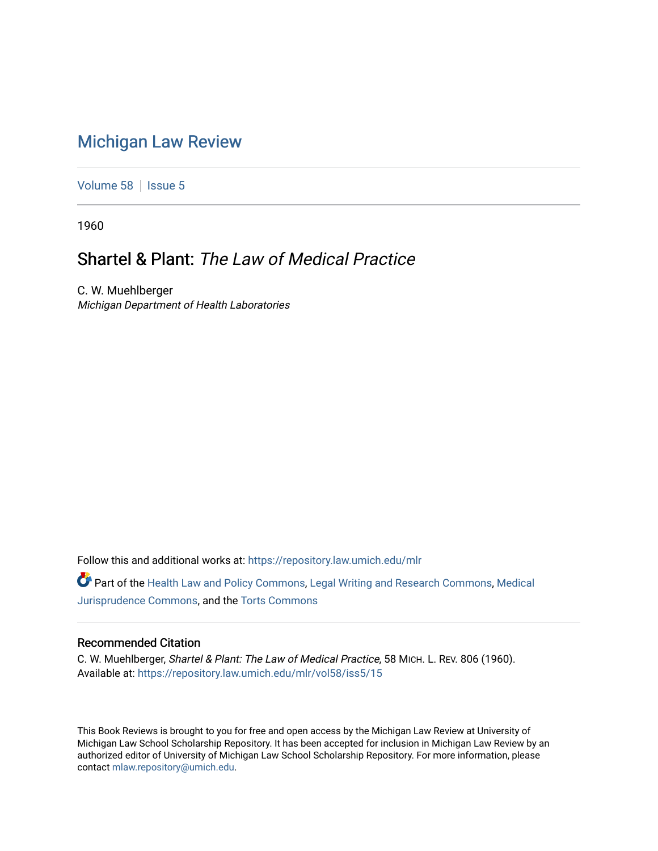## [Michigan Law Review](https://repository.law.umich.edu/mlr)

[Volume 58](https://repository.law.umich.edu/mlr/vol58) | [Issue 5](https://repository.law.umich.edu/mlr/vol58/iss5)

1960

## Shartel & Plant: The Law of Medical Practice

C. W. Muehlberger Michigan Department of Health Laboratories

Follow this and additional works at: [https://repository.law.umich.edu/mlr](https://repository.law.umich.edu/mlr?utm_source=repository.law.umich.edu%2Fmlr%2Fvol58%2Fiss5%2F15&utm_medium=PDF&utm_campaign=PDFCoverPages) 

Part of the [Health Law and Policy Commons](http://network.bepress.com/hgg/discipline/901?utm_source=repository.law.umich.edu%2Fmlr%2Fvol58%2Fiss5%2F15&utm_medium=PDF&utm_campaign=PDFCoverPages), [Legal Writing and Research Commons](http://network.bepress.com/hgg/discipline/614?utm_source=repository.law.umich.edu%2Fmlr%2Fvol58%2Fiss5%2F15&utm_medium=PDF&utm_campaign=PDFCoverPages), [Medical](http://network.bepress.com/hgg/discipline/860?utm_source=repository.law.umich.edu%2Fmlr%2Fvol58%2Fiss5%2F15&utm_medium=PDF&utm_campaign=PDFCoverPages)  [Jurisprudence Commons](http://network.bepress.com/hgg/discipline/860?utm_source=repository.law.umich.edu%2Fmlr%2Fvol58%2Fiss5%2F15&utm_medium=PDF&utm_campaign=PDFCoverPages), and the [Torts Commons](http://network.bepress.com/hgg/discipline/913?utm_source=repository.law.umich.edu%2Fmlr%2Fvol58%2Fiss5%2F15&utm_medium=PDF&utm_campaign=PDFCoverPages) 

## Recommended Citation

C. W. Muehlberger, Shartel & Plant: The Law of Medical Practice, 58 MICH. L. REV. 806 (1960). Available at: [https://repository.law.umich.edu/mlr/vol58/iss5/15](https://repository.law.umich.edu/mlr/vol58/iss5/15?utm_source=repository.law.umich.edu%2Fmlr%2Fvol58%2Fiss5%2F15&utm_medium=PDF&utm_campaign=PDFCoverPages) 

This Book Reviews is brought to you for free and open access by the Michigan Law Review at University of Michigan Law School Scholarship Repository. It has been accepted for inclusion in Michigan Law Review by an authorized editor of University of Michigan Law School Scholarship Repository. For more information, please contact [mlaw.repository@umich.edu](mailto:mlaw.repository@umich.edu).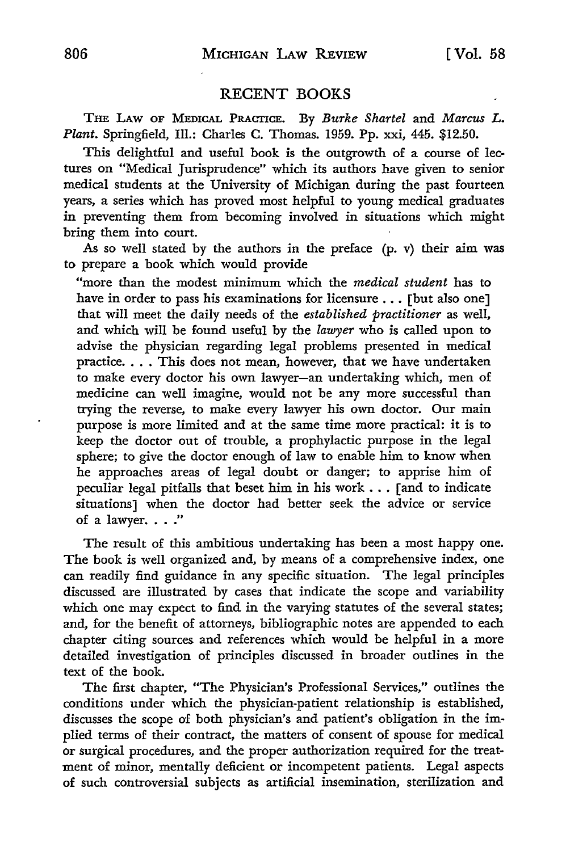## RECENT BOOKS

THE LAw OF MEDICAL PRACTICE. By *Burke Shartel* and *Marcus L. Plant.* Springfield, Ill.: Charles C. Thomas. 1959. Pp. xxi, 445. \$12.50.

This delightful and useful book is the outgrowth of a course of lectures on "Medical Jurisprudence" which its authors have given to senior medical students at the University of Michigan during the past fourteen years, a series which has proved most helpful to young medical graduates in preventing them from becoming involved in situations which might bring them into court.

As so well stated by the authors in the preface (p. v) their aim was to prepare a book which would provide

"more than the modest minimum which the *medical student* has to have in order to pass his examinations for licensure ... [but also one] that will meet the daily needs of the *established practitioner* as well, and which will be found useful by the *lawyer* who is called upon to advise the physician regarding legal problems presented in medical practice. . . . This does not mean, however, that we have undertaken to make every doctor his own lawyer-an undertaking which, men of medicine can well imagine, would not be any more successful than trying the reverse, to make every lawyer his own doctor. Our main purpose is more limited and at the same time more practical: it is to keep the doctor out of trouble, a prophylactic purpose in the legal sphere; to give the doctor enough of law to enable him to know when he approaches areas of legal doubt or danger; to apprise him of peculiar legal pitfalls that beset him in his work ... [and to indicate situations] when the doctor had better seek the advice or service of a lawyer. . . ."

The result of this ambitious undertaking has been a most happy one. The book is well organized and, by means of a comprehensive index, one can readily find guidance in any specific situation. The legal principles discussed are illustrated by cases that indicate the scope and variability which one may expect to find in the varying statutes of the several states; and, for the benefit of attorneys, bibliographic notes are appended to each chapter citing sources and references which would be helpful in a more detailed investigation of principles discussed in broader outlines in the text of the book.

The first chapter, "The Physician's Professional Services," outlines the conditions under which the physician-patient relationship is established, discusses the scope of both physician's and patient's obligation in the implied terms of their contract, the matters of consent of spouse for medical or surgical procedures, and the proper authorization required for the treatment of minor, mentally deficient or incompetent patients. Legal aspects of such controversial subjects as artificial insemination, sterilization and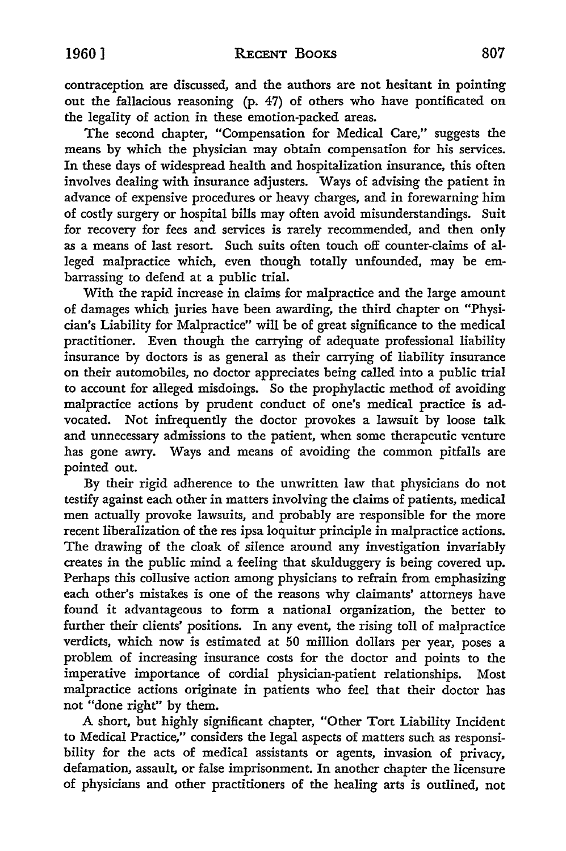contraception are discussed, and the authors are not hesitant in pointing out the fallacious reasoning (p. 47) of others who have pontificated on the legality of action in these emotion-packed areas.

The second chapter, "Compensation for Medical Care," suggests the means by which the physician may obtain compensation for his services. In these days of widespread health and hospitalization insurance, this often involves dealing with insurance adjusters. Ways of advising the patient in advance of expensive procedures or heavy charges, and in forewarning him of costly surgery or hospital bills may often avoid misunderstandings. Suit for recovery for fees and services is rarely recommended, and then only as a means of last resort. Such suits often touch off counter-claims of alleged malpractice which, even though totally unfounded, may be embarrassing to defend at a public trial.

With the rapid increase in claims for malpractice and the large amount of damages which juries have been awarding, the third chapter on "Physician's Liability for Malpractice" will be of great significance to the medical practitioner. Even though the carrying of adequate professional liability insurance by doctors is as general as their carrying of liability insurance on their automobiles, no doctor appreciates being called into a public trial to account for alleged misdoings. So the prophylactic method of avoiding malpractice actions by prudent conduct of one's medical practice is advocated. Not infrequently the doctor provokes a lawsuit by loose talk and unnecessary admissions to the patient, when some therapeutic venture has gone awry. Ways and means of avoiding the common pitfalls are pointed out.

By their rigid adherence to the unwritten law that physicians do not testify against each other in matters involving the claims of patients, medical men actually provoke lawsuits, and probably are responsible for the more recent liberalization of the res ipsa loquitur principle in malpractice actions. The drawing of the cloak of silence around any investigation invariably creates in the public mind a feeling that skulduggery is being covered up. Perhaps this collusive action among physicians to refrain from emphasizing each other's mistakes is one of the reasons why claimants' attorneys have found it advantageous to form a national organization, the better to further their clients' positions. In any event, the rising toll of malpractice verdicts, which now is estimated at 50 million dollars per year, poses a problem of increasing insurance costs for the doctor and points to the imperative importance of cordial physician-patient relationships. Most malpractice actions originate in patients who feel that their doctor has not "done right" by them.

A short, but highly significant chapter, "Other Tort Liability Incident to Medical Practice," considers the legal aspects of matters such as responsibility for the acts of medical assistants or agents, invasion of privacy, defamation, assault, or false imprisonment. In another chapter the licensure of physicians and other practitioners of the healing arts is outlined, not